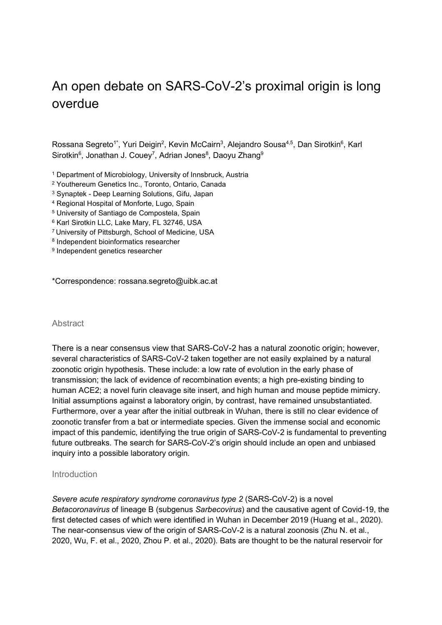# An open debate on SARS-CoV-2's proximal origin is long overdue

Rossana Segreto<sup>1\*</sup>, Yuri Deigin<sup>2</sup>, Kevin McCairn<sup>3</sup>, Alejandro Sousa<sup>4,5</sup>, Dan Sirotkin<sup>6</sup>, Karl Sirotkin<sup>6</sup>, Jonathan J. Couey<sup>7</sup>, Adrian Jones<sup>8</sup>, Daoyu Zhang<sup>9</sup>

- <sup>1</sup> Department of Microbiology, University of Innsbruck, Austria
- 2 Youthereum Genetics Inc., Toronto, Ontario, Canada
- 3 Synaptek Deep Learning Solutions, Gifu, Japan
- 4 Regional Hospital of Monforte, Lugo, Spain
- 5 University of Santiago de Compostela, Spain
- 6 Karl Sirotkin LLC, Lake Mary, FL 32746, USA
- <sup>7</sup>University of Pittsburgh, School of Medicine, USA
- 8 Independent bioinformatics researcher
- <sup>9</sup> Independent genetics researcher

\*Correspondence: rossana.segreto@uibk.ac.at

#### **Abstract**

There is a near consensus view that SARS-CoV-2 has a natural zoonotic origin; however, several characteristics of SARS-CoV-2 taken together are not easily explained by a natural zoonotic origin hypothesis. These include: a low rate of evolution in the early phase of transmission; the lack of evidence of recombination events; a high pre-existing binding to human ACE2; a novel furin cleavage site insert, and high human and mouse peptide mimicry. Initial assumptions against a laboratory origin, by contrast, have remained unsubstantiated. Furthermore, over a year after the initial outbreak in Wuhan, there is still no clear evidence of zoonotic transfer from a bat or intermediate species. Given the immense social and economic impact of this pandemic, identifying the true origin of SARS-CoV-2 is fundamental to preventing future outbreaks. The search for SARS-CoV-2's origin should include an open and unbiased inquiry into a possible laboratory origin.

#### Introduction

Severe acute respiratory syndrome coronavirus type 2 (SARS-CoV-2) is a novel Betacoronavirus of lineage B (subgenus Sarbecovirus) and the causative agent of Covid-19, the first detected cases of which were identified in Wuhan in December 2019 (Huang et al., 2020). The near-consensus view of the origin of SARS-CoV-2 is a natural zoonosis (Zhu N. et al., 2020, Wu, F. et al., 2020, Zhou P. et al., 2020). Bats are thought to be the natural reservoir for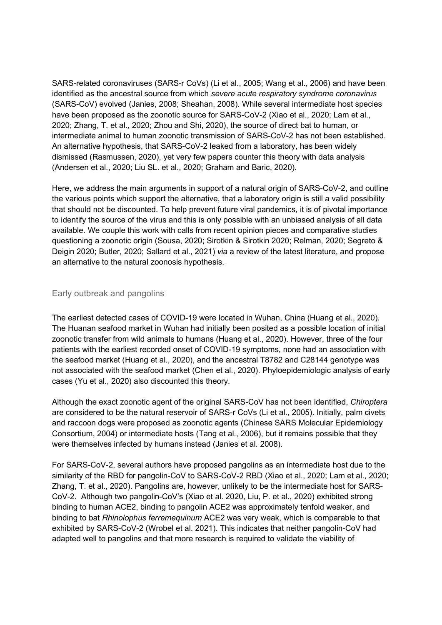SARS-related coronaviruses (SARS-r CoVs) (Li et al., 2005; Wang et al., 2006) and have been identified as the ancestral source from which severe acute respiratory syndrome coronavirus (SARS-CoV) evolved (Janies, 2008; Sheahan, 2008). While several intermediate host species have been proposed as the zoonotic source for SARS-CoV-2 (Xiao et al., 2020; Lam et al., 2020; Zhang, T. et al., 2020; Zhou and Shi, 2020), the source of direct bat to human, or intermediate animal to human zoonotic transmission of SARS-CoV-2 has not been established. An alternative hypothesis, that SARS-CoV-2 leaked from a laboratory, has been widely dismissed (Rasmussen, 2020), yet very few papers counter this theory with data analysis (Andersen et al., 2020; Liu SL. et al., 2020; Graham and Baric, 2020).

Here, we address the main arguments in support of a natural origin of SARS-CoV-2, and outline the various points which support the alternative, that a laboratory origin is still a valid possibility that should not be discounted. To help prevent future viral pandemics, it is of pivotal importance to identify the source of the virus and this is only possible with an unbiased analysis of all data available. We couple this work with calls from recent opinion pieces and comparative studies questioning a zoonotic origin (Sousa, 2020; Sirotkin & Sirotkin 2020; Relman, 2020; Segreto & Deigin 2020; Butler, 2020; Sallard et al., 2021) via a review of the latest literature, and propose an alternative to the natural zoonosis hypothesis.

# Early outbreak and pangolins

The earliest detected cases of COVID-19 were located in Wuhan, China (Huang et al., 2020). The Huanan seafood market in Wuhan had initially been posited as a possible location of initial zoonotic transfer from wild animals to humans (Huang et al., 2020). However, three of the four patients with the earliest recorded onset of COVID-19 symptoms, none had an association with the seafood market (Huang et al., 2020), and the ancestral T8782 and C28144 genotype was not associated with the seafood market (Chen et al., 2020). Phyloepidemiologic analysis of early cases (Yu et al., 2020) also discounted this theory.

Although the exact zoonotic agent of the original SARS-CoV has not been identified, Chiroptera are considered to be the natural reservoir of SARS-r CoVs (Li et al., 2005). Initially, palm civets and raccoon dogs were proposed as zoonotic agents (Chinese SARS Molecular Epidemiology Consortium, 2004) or intermediate hosts (Tang et al., 2006), but it remains possible that they were themselves infected by humans instead (Janies et al. 2008).

For SARS-CoV-2, several authors have proposed pangolins as an intermediate host due to the similarity of the RBD for pangolin-CoV to SARS-CoV-2 RBD (Xiao et al., 2020; Lam et al., 2020; Zhang, T. et al., 2020). Pangolins are, however, unlikely to be the intermediate host for SARS-CoV-2. Although two pangolin-CoV's (Xiao et al. 2020, Liu, P. et al., 2020) exhibited strong binding to human ACE2, binding to pangolin ACE2 was approximately tenfold weaker, and binding to bat Rhinolophus ferremequinum ACE2 was very weak, which is comparable to that exhibited by SARS-CoV-2 (Wrobel et al. 2021). This indicates that neither pangolin-CoV had adapted well to pangolins and that more research is required to validate the viability of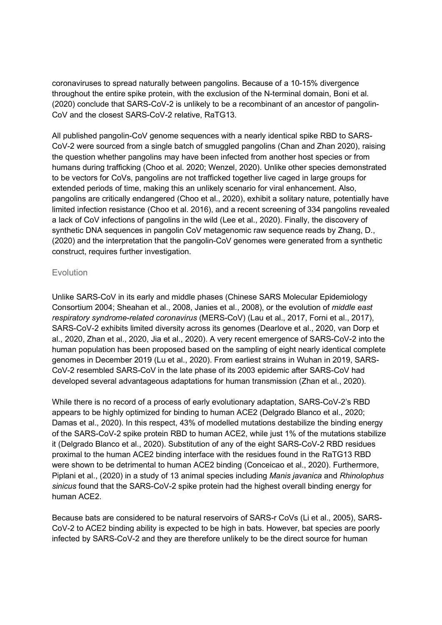coronaviruses to spread naturally between pangolins. Because of a 10-15% divergence throughout the entire spike protein, with the exclusion of the N-terminal domain, Boni et al. (2020) conclude that SARS-CoV-2 is unlikely to be a recombinant of an ancestor of pangolin-CoV and the closest SARS-CoV-2 relative, RaTG13.

All published pangolin-CoV genome sequences with a nearly identical spike RBD to SARS-CoV-2 were sourced from a single batch of smuggled pangolins (Chan and Zhan 2020), raising the question whether pangolins may have been infected from another host species or from humans during trafficking (Choo et al. 2020; Wenzel, 2020). Unlike other species demonstrated to be vectors for CoVs, pangolins are not trafficked together live caged in large groups for extended periods of time, making this an unlikely scenario for viral enhancement. Also, pangolins are critically endangered (Choo et al., 2020), exhibit a solitary nature, potentially have limited infection resistance (Choo et al. 2016), and a recent screening of 334 pangolins revealed a lack of CoV infections of pangolins in the wild (Lee et al., 2020). Finally, the discovery of synthetic DNA sequences in pangolin CoV metagenomic raw sequence reads by Zhang, D., (2020) and the interpretation that the pangolin-CoV genomes were generated from a synthetic construct, requires further investigation.

## **Evolution**

Unlike SARS-CoV in its early and middle phases (Chinese SARS Molecular Epidemiology Consortium 2004; Sheahan et al., 2008, Janies et al., 2008), or the evolution of middle east respiratory syndrome-related coronavirus (MERS-CoV) (Lau et al., 2017, Forni et al., 2017), SARS-CoV-2 exhibits limited diversity across its genomes (Dearlove et al., 2020, van Dorp et al., 2020, Zhan et al., 2020, Jia et al., 2020). A very recent emergence of SARS-CoV-2 into the human population has been proposed based on the sampling of eight nearly identical complete genomes in December 2019 (Lu et al., 2020). From earliest strains in Wuhan in 2019, SARS-CoV-2 resembled SARS-CoV in the late phase of its 2003 epidemic after SARS-CoV had developed several advantageous adaptations for human transmission (Zhan et al., 2020).

While there is no record of a process of early evolutionary adaptation, SARS-CoV-2's RBD appears to be highly optimized for binding to human ACE2 (Delgrado Blanco et al., 2020; Damas et al., 2020). In this respect, 43% of modelled mutations destabilize the binding energy of the SARS-CoV-2 spike protein RBD to human ACE2, while just 1% of the mutations stabilize it (Delgrado Blanco et al., 2020). Substitution of any of the eight SARS-CoV-2 RBD residues proximal to the human ACE2 binding interface with the residues found in the RaTG13 RBD were shown to be detrimental to human ACE2 binding (Conceicao et al., 2020). Furthermore, Piplani et al., (2020) in a study of 13 animal species including Manis javanica and Rhinolophus sinicus found that the SARS-CoV-2 spike protein had the highest overall binding energy for human ACE2.

Because bats are considered to be natural reservoirs of SARS-r CoVs (Li et al., 2005), SARS-CoV-2 to ACE2 binding ability is expected to be high in bats. However, bat species are poorly infected by SARS-CoV-2 and they are therefore unlikely to be the direct source for human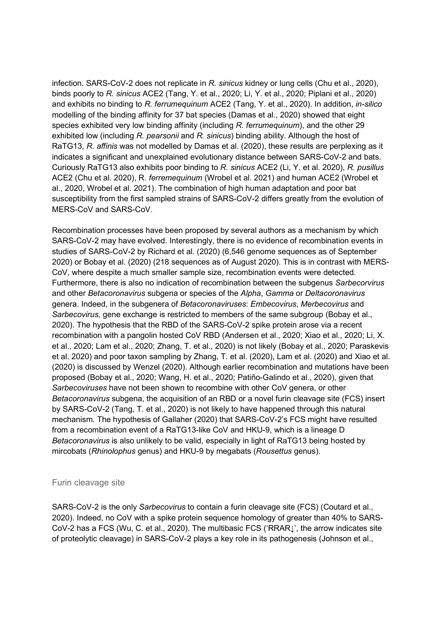infection. SARS-CoV-2 does not replicate in R. sinicus kidney or lung cells (Chu et al., 2020), binds poorly to R. sinicus ACE2 (Tang, Y. et al., 2020; Li, Y. et al., 2020; Piplani et al., 2020) and exhibits no binding to R. ferrumequinum ACE2 (Tang, Y. et al., 2020). In addition, in-silico modelling of the binding affinity for 37 bat species (Damas et al., 2020) showed that eight species exhibited very low binding affinity (including R. ferrumequinum), and the other 29 exhibited low (including R. pearsonii and R. sinicus) binding ability. Although the host of RaTG13, R. affinis was not modelled by Damas et al. (2020), these results are perplexing as it indicates a significant and unexplained evolutionary distance between SARS-CoV-2 and bats. Curiously RaTG13 also exhibits poor binding to R. sinicus ACE2 (Li, Y. et al. 2020), R. pusillus ACE2 (Chu et al. 2020), R. ferremequinum (Wrobel et al. 2021) and human ACE2 (Wrobel et al., 2020, Wrobel et al. 2021). The combination of high human adaptation and poor bat susceptibility from the first sampled strains of SARS-CoV-2 differs greatly from the evolution of MERS-CoV and SARS-CoV.

Recombination processes have been proposed by several authors as a mechanism by which SARS-CoV-2 may have evolved. Interestingly, there is no evidence of recombination events in studies of SARS-CoV-2 by Richard et al. (2020) (6,546 genome sequences as of September 2020) or Bobay et al. (2020) (218 sequences as of August 2020). This is in contrast with MERS-CoV, where despite a much smaller sample size, recombination events were detected. Furthermore, there is also no indication of recombination between the subgenus Sarbecorvirus and other Betacoronavirus subgena or species of the Alpha, Gamma or Deltacoronavirus genera. Indeed, in the subgenera of Betacoronaviruses: Embecovirus, Merbecovirus and Sarbecovirus, gene exchange is restricted to members of the same subgroup (Bobay et al., 2020). The hypothesis that the RBD of the SARS-CoV-2 spike protein arose via a recent recombination with a pangolin hosted CoV RBD (Andersen et al., 2020; Xiao et al., 2020; Li, X. et al., 2020; Lam et al., 2020; Zhang, T. et al., 2020) is not likely (Bobay et al., 2020; Paraskevis et al. 2020) and poor taxon sampling by Zhang, T. et al. (2020), Lam et al. (2020) and Xiao et al. (2020) is discussed by Wenzel (2020). Although earlier recombination and mutations have been proposed (Bobay et al., 2020; Wang, H. et al., 2020; Patiño-Galindo et al., 2020), given that Sarbecoviruses have not been shown to recombine with other CoV genera, or other Betacoronavirus subgena, the acquisition of an RBD or a novel furin cleavage site (FCS) insert by SARS-CoV-2 (Tang, T. et al., 2020) is not likely to have happened through this natural mechanism. The hypothesis of Gallaher (2020) that SARS-CoV-2's FCS might have resulted from a recombination event of a RaTG13-like CoV and HKU-9, which is a lineage D Betacoronavirus is also unlikely to be valid, especially in light of RaTG13 being hosted by mircobats (Rhinolophus genus) and HKU-9 by megabats (Rousettus genus).

## Furin cleavage site

SARS-CoV-2 is the only Sarbecovirus to contain a furin cleavage site (FCS) (Coutard et al., 2020). Indeed, no CoV with a spike protein sequence homology of greater than 40% to SARS-CoV-2 has a FCS (Wu, C. et al., 2020). The multibasic FCS ('RRAR↓', the arrow indicates site of proteolytic cleavage) in SARS-CoV-2 plays a key role in its pathogenesis (Johnson et al.,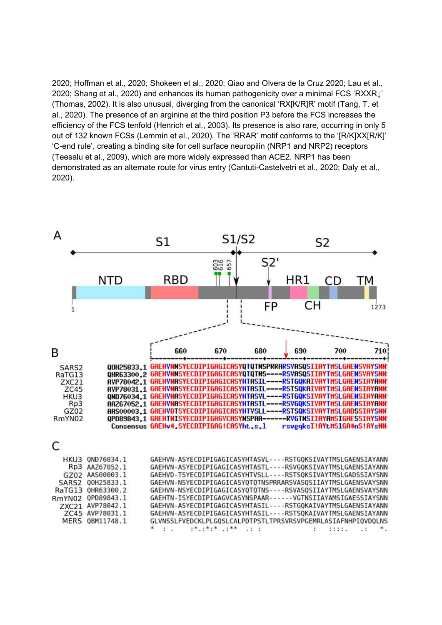2020; Hoffman et al., 2020; Shokeen et al., 2020; Qiao and Olvera de la Cruz 2020; Lau et al., 2020; Shang et al., 2020) and enhances its human pathogenicity over a minimal FCS 'RXXR↓' (Thomas, 2002). It is also unusual, diverging from the canonical 'RX[K/R]R' motif (Tang, T. et al., 2020). The presence of an arginine at the third position P3 before the FCS increases the efficiency of the FCS tenfold (Henrich et al., 2003). Its presence is also rare, occurring in only 5 out of 132 known FCSs (Lemmin et al., 2020). The 'RRAR' motif conforms to the '[R/K]XX[R/K]' 'C-end rule', creating a binding site for cell surface neuropilin (NRP1 and NRP2) receptors (Teesalu et al., 2009), which are more widely expressed than ACE2. NRP1 has been demonstrated as an alternate route for virus entry (Cantuti-Castelvetri et al., 2020; Daly et al., 2020).

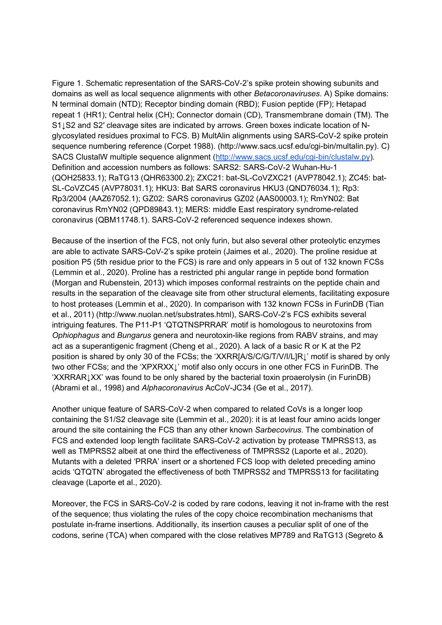Figure 1. Schematic representation of the SARS-CoV-2's spike protein showing subunits and domains as well as local sequence alignments with other Betacoronaviruses. A) Spike domains: N terminal domain (NTD); Receptor binding domain (RBD); Fusion peptide (FP); Hetapad repeat 1 (HR1); Central helix (CH); Connector domain (CD), Transmembrane domain (TM). The S1↓S2 and S2' cleavage sites are indicated by arrows. Green boxes indicate location of Nglycosylated residues proximal to FCS. B) MultAlin alignments using SARS-CoV-2 spike protein sequence numbering reference (Corpet 1988). (http://www.sacs.ucsf.edu/cgi-bin/multalin.py). C) SACS ClustalW multiple sequence alignment (http://www.sacs.ucsf.edu/cgi-bin/clustalw.py). Definition and accession numbers as follows: SARS2: SARS-CoV-2 Wuhan-Hu-1 (QOH25833.1); RaTG13 (QHR63300.2); ZXC21: bat-SL-CoVZXC21 (AVP78042.1); ZC45: bat-SL-CoVZC45 (AVP78031.1); HKU3: Bat SARS coronavirus HKU3 (QND76034.1); Rp3: Rp3/2004 (AAZ67052.1); GZ02: SARS coronavirus GZ02 (AAS00003.1); RmYN02: Bat coronavirus RmYN02 (QPD89843.1); MERS: middle East respiratory syndrome-related coronavirus (QBM11748.1). SARS-CoV-2 referenced sequence indexes shown.

Because of the insertion of the FCS, not only furin, but also several other proteolytic enzymes are able to activate SARS-CoV-2's spike protein (Jaimes et al., 2020). The proline residue at position P5 (5th residue prior to the FCS) is rare and only appears in 5 out of 132 known FCSs (Lemmin et al., 2020). Proline has a restricted phi angular range in peptide bond formation (Morgan and Rubenstein, 2013) which imposes conformal restraints on the peptide chain and results in the separation of the cleavage site from other structural elements, facilitating exposure to host proteases (Lemmin et al., 2020). In comparison with 132 known FCSs in FurinDB (Tian et al., 2011) (http://www.nuolan.net/substrates.html), SARS-CoV-2's FCS exhibits several intriguing features. The P11-P1 'QTQTNSPRRAR' motif is homologous to neurotoxins from Ophiophagus and Bungarus genera and neurotoxin-like regions from RABV strains, and may act as a superantigenic fragment (Cheng et al., 2020). A lack of a basic R or K at the P2 position is shared by only 30 of the FCSs; the 'XXRR[A/S/C/G/T/V/I/L]RI' motif is shared by only two other FCSs; and the 'XPXRXX↓' motif also only occurs in one other FCS in FurinDB. The 'XXRRAR↓XX' was found to be only shared by the bacterial toxin proaerolysin (in FurinDB) (Abrami et al., 1998) and Alphacoronavirus AcCoV-JC34 (Ge et al., 2017).

Another unique feature of SARS-CoV-2 when compared to related CoVs is a longer loop containing the S1/S2 cleavage site (Lemmin et al., 2020): it is at least four amino acids longer around the site containing the FCS than any other known Sarbecovirus. The combination of FCS and extended loop length facilitate SARS-CoV-2 activation by protease TMPRSS13, as well as TMPRSS2 albeit at one third the effectiveness of TMPRSS2 (Laporte et al., 2020). Mutants with a deleted 'PRRA' insert or a shortened FCS loop with deleted preceding amino acids 'QTQTN' abrogated the effectiveness of both TMPRSS2 and TMPRSS13 for facilitating cleavage (Laporte et al., 2020).

Moreover, the FCS in SARS-CoV-2 is coded by rare codons, leaving it not in-frame with the rest of the sequence; thus violating the rules of the copy choice recombination mechanisms that postulate in-frame insertions. Additionally, its insertion causes a peculiar split of one of the codons, serine (TCA) when compared with the close relatives MP789 and RaTG13 (Segreto &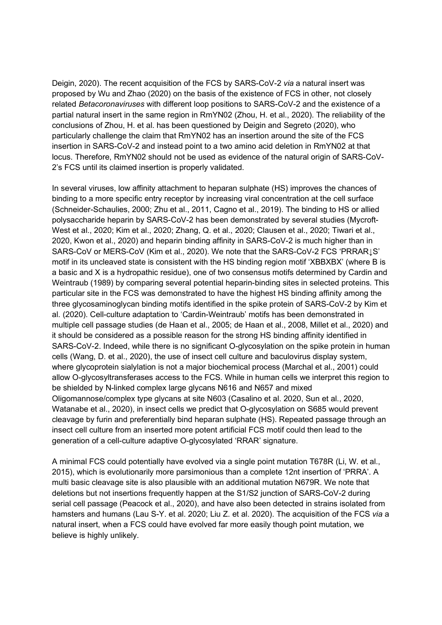Deigin, 2020). The recent acquisition of the FCS by SARS-CoV-2 via a natural insert was proposed by Wu and Zhao (2020) on the basis of the existence of FCS in other, not closely related Betacoronaviruses with different loop positions to SARS-CoV-2 and the existence of a partial natural insert in the same region in RmYN02 (Zhou, H. et al., 2020). The reliability of the conclusions of Zhou, H. et al. has been questioned by Deigin and Segreto (2020), who particularly challenge the claim that RmYN02 has an insertion around the site of the FCS insertion in SARS-CoV-2 and instead point to a two amino acid deletion in RmYN02 at that locus. Therefore, RmYN02 should not be used as evidence of the natural origin of SARS-CoV-2's FCS until its claimed insertion is properly validated.

In several viruses, low affinity attachment to heparan sulphate (HS) improves the chances of binding to a more specific entry receptor by increasing viral concentration at the cell surface (Schneider-Schaulies, 2000; Zhu et al., 2011, Cagno et al., 2019). The binding to HS or allied polysaccharide heparin by SARS-CoV-2 has been demonstrated by several studies (Mycroft-West et al., 2020; Kim et al., 2020; Zhang, Q. et al., 2020; Clausen et al., 2020; Tiwari et al., 2020, Kwon et al., 2020) and heparin binding affinity in SARS-CoV-2 is much higher than in SARS-CoV or MERS-CoV (Kim et al., 2020). We note that the SARS-CoV-2 FCS 'PRRAR<sup>1</sup>S' motif in its uncleaved state is consistent with the HS binding region motif 'XBBXBX' (where B is a basic and X is a hydropathic residue), one of two consensus motifs determined by Cardin and Weintraub (1989) by comparing several potential heparin-binding sites in selected proteins. This particular site in the FCS was demonstrated to have the highest HS binding affinity among the three glycosaminoglycan binding motifs identified in the spike protein of SARS-CoV-2 by Kim et al. (2020). Cell-culture adaptation to 'Cardin-Weintraub' motifs has been demonstrated in multiple cell passage studies (de Haan et al., 2005; de Haan et al., 2008, Millet et al., 2020) and it should be considered as a possible reason for the strong HS binding affinity identified in SARS-CoV-2. Indeed, while there is no significant O-glycosylation on the spike protein in human cells (Wang, D. et al., 2020), the use of insect cell culture and baculovirus display system, where glycoprotein sialylation is not a major biochemical process (Marchal et al., 2001) could allow O-glycosyltransferases access to the FCS. While in human cells we interpret this region to be shielded by N-linked complex large glycans N616 and N657 and mixed Oligomannose/complex type glycans at site N603 (Casalino et al. 2020, Sun et al., 2020, Watanabe et al., 2020), in insect cells we predict that O-glycosylation on S685 would prevent cleavage by furin and preferentially bind heparan sulphate (HS). Repeated passage through an insect cell culture from an inserted more potent artificial FCS motif could then lead to the generation of a cell-culture adaptive O-glycosylated 'RRAR' signature.

A minimal FCS could potentially have evolved via a single point mutation T678R (Li, W. et al., 2015), which is evolutionarily more parsimonious than a complete 12nt insertion of 'PRRA'. A multi basic cleavage site is also plausible with an additional mutation N679R. We note that deletions but not insertions frequently happen at the S1/S2 junction of SARS-CoV-2 during serial cell passage (Peacock et al., 2020), and have also been detected in strains isolated from hamsters and humans (Lau S-Y. et al. 2020; Liu Z. et al. 2020). The acquisition of the FCS via a natural insert, when a FCS could have evolved far more easily though point mutation, we believe is highly unlikely.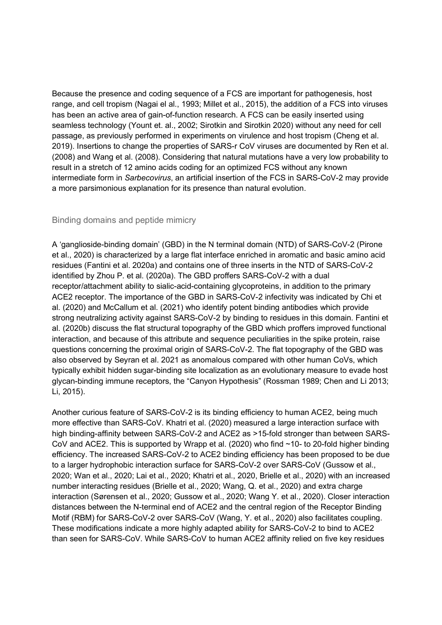Because the presence and coding sequence of a FCS are important for pathogenesis, host range, and cell tropism (Nagai el al., 1993; Millet et al., 2015), the addition of a FCS into viruses has been an active area of gain-of-function research. A FCS can be easily inserted using seamless technology (Yount et. al., 2002; Sirotkin and Sirotkin 2020) without any need for cell passage, as previously performed in experiments on virulence and host tropism (Cheng et al. 2019). Insertions to change the properties of SARS-r CoV viruses are documented by Ren et al. (2008) and Wang et al. (2008). Considering that natural mutations have a very low probability to result in a stretch of 12 amino acids coding for an optimized FCS without any known intermediate form in Sarbecovirus, an artificial insertion of the FCS in SARS-CoV-2 may provide a more parsimonious explanation for its presence than natural evolution.

## Binding domains and peptide mimicry

A 'ganglioside-binding domain' (GBD) in the N terminal domain (NTD) of SARS-CoV-2 (Pirone et al., 2020) is characterized by a large flat interface enriched in aromatic and basic amino acid residues (Fantini et al. 2020a) and contains one of three inserts in the NTD of SARS-CoV-2 identified by Zhou P. et al. (2020a). The GBD proffers SARS-CoV-2 with a dual receptor/attachment ability to sialic-acid-containing glycoproteins, in addition to the primary ACE2 receptor. The importance of the GBD in SARS-CoV-2 infectivity was indicated by Chi et al. (2020) and McCallum et al. (2021) who identify potent binding antibodies which provide strong neutralizing activity against SARS-CoV-2 by binding to residues in this domain. Fantini et al. (2020b) discuss the flat structural topography of the GBD which proffers improved functional interaction, and because of this attribute and sequence peculiarities in the spike protein, raise questions concerning the proximal origin of SARS-CoV-2. The flat topography of the GBD was also observed by Seyran et al. 2021 as anomalous compared with other human CoVs, which typically exhibit hidden sugar-binding site localization as an evolutionary measure to evade host glycan-binding immune receptors, the "Canyon Hypothesis" (Rossman 1989; Chen and Li 2013; Li, 2015).

Another curious feature of SARS-CoV-2 is its binding efficiency to human ACE2, being much more effective than SARS-CoV. Khatri et al. (2020) measured a large interaction surface with high binding-affinity between SARS-CoV-2 and ACE2 as >15-fold stronger than between SARS-CoV and ACE2. This is supported by Wrapp et al. (2020) who find ~10- to 20-fold higher binding efficiency. The increased SARS-CoV-2 to ACE2 binding efficiency has been proposed to be due to a larger hydrophobic interaction surface for SARS-CoV-2 over SARS-CoV (Gussow et al., 2020; Wan et al., 2020; Lai et al., 2020; Khatri et al., 2020, Brielle et al., 2020) with an increased number interacting residues (Brielle et al., 2020; Wang, Q. et al., 2020) and extra charge interaction (Sørensen et al., 2020; Gussow et al., 2020; Wang Y. et al., 2020). Closer interaction distances between the N-terminal end of ACE2 and the central region of the Receptor Binding Motif (RBM) for SARS-CoV-2 over SARS-CoV (Wang, Y. et al., 2020) also facilitates coupling. These modifications indicate a more highly adapted ability for SARS-CoV-2 to bind to ACE2 than seen for SARS-CoV. While SARS-CoV to human ACE2 affinity relied on five key residues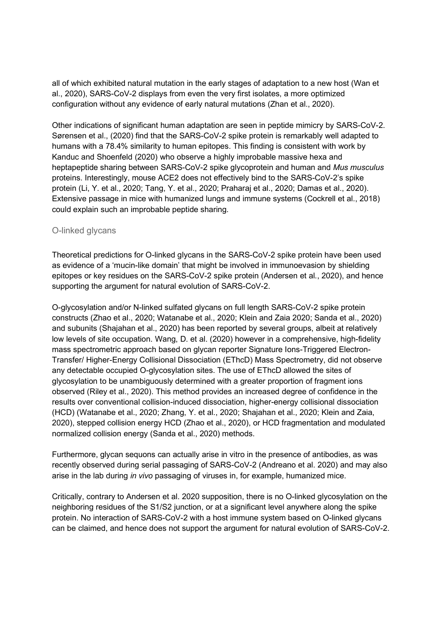all of which exhibited natural mutation in the early stages of adaptation to a new host (Wan et al., 2020), SARS-CoV-2 displays from even the very first isolates, a more optimized configuration without any evidence of early natural mutations (Zhan et al., 2020).

Other indications of significant human adaptation are seen in peptide mimicry by SARS-CoV-2. Sørensen et al., (2020) find that the SARS-CoV-2 spike protein is remarkably well adapted to humans with a 78.4% similarity to human epitopes. This finding is consistent with work by Kanduc and Shoenfeld (2020) who observe a highly improbable massive hexa and heptapeptide sharing between SARS-CoV-2 spike glycoprotein and human and Mus musculus proteins. Interestingly, mouse ACE2 does not effectively bind to the SARS-CoV-2's spike protein (Li, Y. et al., 2020; Tang, Y. et al., 2020; Praharaj et al., 2020; Damas et al., 2020). Extensive passage in mice with humanized lungs and immune systems (Cockrell et al., 2018) could explain such an improbable peptide sharing.

## O-linked glycans

Theoretical predictions for O-linked glycans in the SARS-CoV-2 spike protein have been used as evidence of a 'mucin-like domain' that might be involved in immunoevasion by shielding epitopes or key residues on the SARS-CoV-2 spike protein (Andersen et al., 2020), and hence supporting the argument for natural evolution of SARS-CoV-2.

O-glycosylation and/or N-linked sulfated glycans on full length SARS-CoV-2 spike protein constructs (Zhao et al., 2020; Watanabe et al., 2020; Klein and Zaia 2020; Sanda et al., 2020) and subunits (Shajahan et al., 2020) has been reported by several groups, albeit at relatively low levels of site occupation. Wang, D. et al. (2020) however in a comprehensive, high-fidelity mass spectrometric approach based on glycan reporter Signature Ions-Triggered Electron-Transfer/ Higher-Energy Collisional Dissociation (EThcD) Mass Spectrometry, did not observe any detectable occupied O-glycosylation sites. The use of EThcD allowed the sites of glycosylation to be unambiguously determined with a greater proportion of fragment ions observed (Riley et al., 2020). This method provides an increased degree of confidence in the results over conventional collision-induced dissociation, higher-energy collisional dissociation (HCD) (Watanabe et al., 2020; Zhang, Y. et al., 2020; Shajahan et al., 2020; Klein and Zaia, 2020), stepped collision energy HCD (Zhao et al., 2020), or HCD fragmentation and modulated normalized collision energy (Sanda et al., 2020) methods.

Furthermore, glycan sequons can actually arise in vitro in the presence of antibodies, as was recently observed during serial passaging of SARS-CoV-2 (Andreano et al. 2020) and may also arise in the lab during in vivo passaging of viruses in, for example, humanized mice.

Critically, contrary to Andersen et al. 2020 supposition, there is no O-linked glycosylation on the neighboring residues of the S1/S2 junction, or at a significant level anywhere along the spike protein. No interaction of SARS-CoV-2 with a host immune system based on O-linked glycans can be claimed, and hence does not support the argument for natural evolution of SARS-CoV-2.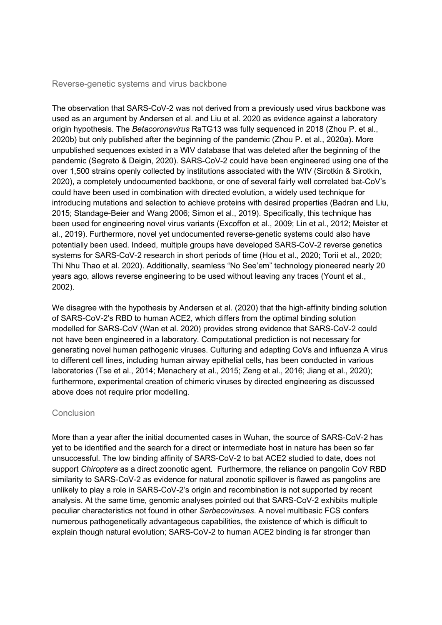#### Reverse-genetic systems and virus backbone

The observation that SARS-CoV-2 was not derived from a previously used virus backbone was used as an argument by Andersen et al. and Liu et al. 2020 as evidence against a laboratory origin hypothesis. The Betacoronavirus RaTG13 was fully sequenced in 2018 (Zhou P. et al., 2020b) but only published after the beginning of the pandemic (Zhou P. et al., 2020a). More unpublished sequences existed in a WIV database that was deleted after the beginning of the pandemic (Segreto & Deigin, 2020). SARS-CoV-2 could have been engineered using one of the over 1,500 strains openly collected by institutions associated with the WIV (Sirotkin & Sirotkin, 2020), a completely undocumented backbone, or one of several fairly well correlated bat-CoV's could have been used in combination with directed evolution, a widely used technique for introducing mutations and selection to achieve proteins with desired properties (Badran and Liu, 2015; Standage-Beier and Wang 2006; Simon et al., 2019). Specifically, this technique has been used for engineering novel virus variants (Excoffon et al., 2009; Lin et al., 2012; Meister et al., 2019). Furthermore, novel yet undocumented reverse-genetic systems could also have potentially been used. Indeed, multiple groups have developed SARS-CoV-2 reverse genetics systems for SARS-CoV-2 research in short periods of time (Hou et al., 2020; Torii et al., 2020; Thi Nhu Thao et al. 2020). Additionally, seamless "No See'em" technology pioneered nearly 20 years ago, allows reverse engineering to be used without leaving any traces (Yount et al., 2002).

We disagree with the hypothesis by Andersen et al. (2020) that the high-affinity binding solution of SARS-CoV-2's RBD to human ACE2, which differs from the optimal binding solution modelled for SARS-CoV (Wan et al. 2020) provides strong evidence that SARS-CoV-2 could not have been engineered in a laboratory. Computational prediction is not necessary for generating novel human pathogenic viruses. Culturing and adapting CoVs and influenza A virus to different cell lines, including human airway epithelial cells, has been conducted in various laboratories (Tse et al., 2014; Menachery et al., 2015; Zeng et al., 2016; Jiang et al., 2020); furthermore, experimental creation of chimeric viruses by directed engineering as discussed above does not require prior modelling.

## **Conclusion**

More than a year after the initial documented cases in Wuhan, the source of SARS-CoV-2 has yet to be identified and the search for a direct or intermediate host in nature has been so far unsuccessful. The low binding affinity of SARS-CoV-2 to bat ACE2 studied to date, does not support Chiroptera as a direct zoonotic agent. Furthermore, the reliance on pangolin CoV RBD similarity to SARS-CoV-2 as evidence for natural zoonotic spillover is flawed as pangolins are unlikely to play a role in SARS-CoV-2's origin and recombination is not supported by recent analysis. At the same time, genomic analyses pointed out that SARS-CoV-2 exhibits multiple peculiar characteristics not found in other Sarbecoviruses. A novel multibasic FCS confers numerous pathogenetically advantageous capabilities, the existence of which is difficult to explain though natural evolution; SARS-CoV-2 to human ACE2 binding is far stronger than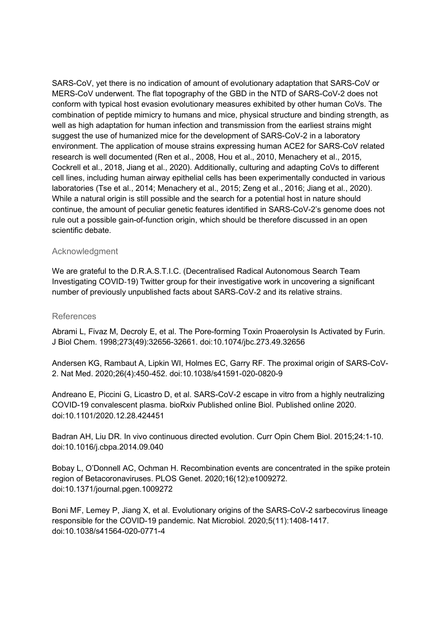SARS-CoV, yet there is no indication of amount of evolutionary adaptation that SARS-CoV or MERS-CoV underwent. The flat topography of the GBD in the NTD of SARS-CoV-2 does not conform with typical host evasion evolutionary measures exhibited by other human CoVs. The combination of peptide mimicry to humans and mice, physical structure and binding strength, as well as high adaptation for human infection and transmission from the earliest strains might suggest the use of humanized mice for the development of SARS-CoV-2 in a laboratory environment. The application of mouse strains expressing human ACE2 for SARS-CoV related research is well documented (Ren et al., 2008, Hou et al., 2010, Menachery et al., 2015, Cockrell et al., 2018, Jiang et al., 2020). Additionally, culturing and adapting CoVs to different cell lines, including human airway epithelial cells has been experimentally conducted in various laboratories (Tse et al., 2014; Menachery et al., 2015; Zeng et al., 2016; Jiang et al., 2020). While a natural origin is still possible and the search for a potential host in nature should continue, the amount of peculiar genetic features identified in SARS-CoV-2's genome does not rule out a possible gain-of-function origin, which should be therefore discussed in an open scientific debate.

#### Acknowledgment

We are grateful to the D.R.A.S.T.I.C. (Decentralised Radical Autonomous Search Team Investigating COVID‐19) Twitter group for their investigative work in uncovering a significant number of previously unpublished facts about SARS‐CoV‐2 and its relative strains.

#### References

Abrami L, Fivaz M, Decroly E, et al. The Pore-forming Toxin Proaerolysin Is Activated by Furin. J Biol Chem. 1998;273(49):32656-32661. doi:10.1074/jbc.273.49.32656

Andersen KG, Rambaut A, Lipkin WI, Holmes EC, Garry RF. The proximal origin of SARS-CoV-2. Nat Med. 2020;26(4):450-452. doi:10.1038/s41591-020-0820-9

Andreano E, Piccini G, Licastro D, et al. SARS-CoV-2 escape in vitro from a highly neutralizing COVID-19 convalescent plasma. bioRxiv Published online Biol. Published online 2020. doi:10.1101/2020.12.28.424451

Badran AH, Liu DR. In vivo continuous directed evolution. Curr Opin Chem Biol. 2015;24:1-10. doi:10.1016/j.cbpa.2014.09.040

Bobay L, O'Donnell AC, Ochman H. Recombination events are concentrated in the spike protein region of Betacoronaviruses. PLOS Genet. 2020;16(12):e1009272. doi:10.1371/journal.pgen.1009272

Boni MF, Lemey P, Jiang X, et al. Evolutionary origins of the SARS-CoV-2 sarbecovirus lineage responsible for the COVID-19 pandemic. Nat Microbiol. 2020;5(11):1408-1417. doi:10.1038/s41564-020-0771-4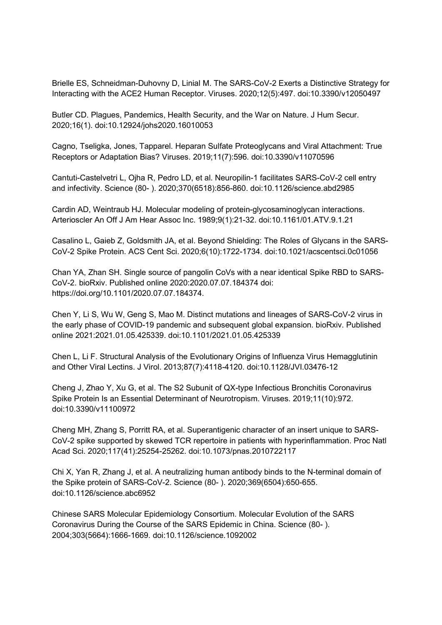Brielle ES, Schneidman-Duhovny D, Linial M. The SARS-CoV-2 Exerts a Distinctive Strategy for Interacting with the ACE2 Human Receptor. Viruses. 2020;12(5):497. doi:10.3390/v12050497

Butler CD. Plagues, Pandemics, Health Security, and the War on Nature. J Hum Secur. 2020;16(1). doi:10.12924/johs2020.16010053

Cagno, Tseligka, Jones, Tapparel. Heparan Sulfate Proteoglycans and Viral Attachment: True Receptors or Adaptation Bias? Viruses. 2019;11(7):596. doi:10.3390/v11070596

Cantuti-Castelvetri L, Ojha R, Pedro LD, et al. Neuropilin-1 facilitates SARS-CoV-2 cell entry and infectivity. Science (80- ). 2020;370(6518):856-860. doi:10.1126/science.abd2985

Cardin AD, Weintraub HJ. Molecular modeling of protein-glycosaminoglycan interactions. Arterioscler An Off J Am Hear Assoc Inc. 1989;9(1):21-32. doi:10.1161/01.ATV.9.1.21

Casalino L, Gaieb Z, Goldsmith JA, et al. Beyond Shielding: The Roles of Glycans in the SARS-CoV-2 Spike Protein. ACS Cent Sci. 2020;6(10):1722-1734. doi:10.1021/acscentsci.0c01056

Chan YA, Zhan SH. Single source of pangolin CoVs with a near identical Spike RBD to SARS-CoV-2. bioRxiv. Published online 2020:2020.07.07.184374 doi: https://doi.org/10.1101/2020.07.07.184374.

Chen Y, Li S, Wu W, Geng S, Mao M. Distinct mutations and lineages of SARS-CoV-2 virus in the early phase of COVID-19 pandemic and subsequent global expansion. bioRxiv. Published online 2021:2021.01.05.425339. doi:10.1101/2021.01.05.425339

Chen L, Li F. Structural Analysis of the Evolutionary Origins of Influenza Virus Hemagglutinin and Other Viral Lectins. J Virol. 2013;87(7):4118-4120. doi:10.1128/JVI.03476-12

Cheng J, Zhao Y, Xu G, et al. The S2 Subunit of QX-type Infectious Bronchitis Coronavirus Spike Protein Is an Essential Determinant of Neurotropism. Viruses. 2019;11(10):972. doi:10.3390/v11100972

Cheng MH, Zhang S, Porritt RA, et al. Superantigenic character of an insert unique to SARS-CoV-2 spike supported by skewed TCR repertoire in patients with hyperinflammation. Proc Natl Acad Sci. 2020;117(41):25254-25262. doi:10.1073/pnas.2010722117

Chi X, Yan R, Zhang J, et al. A neutralizing human antibody binds to the N-terminal domain of the Spike protein of SARS-CoV-2. Science (80- ). 2020;369(6504):650-655. doi:10.1126/science.abc6952

Chinese SARS Molecular Epidemiology Consortium. Molecular Evolution of the SARS Coronavirus During the Course of the SARS Epidemic in China. Science (80- ). 2004;303(5664):1666-1669. doi:10.1126/science.1092002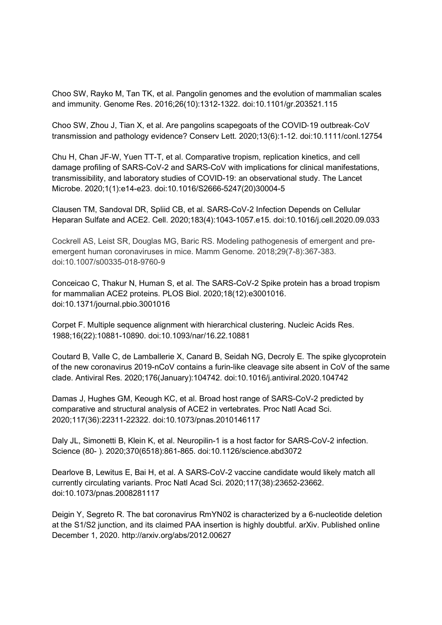Choo SW, Rayko M, Tan TK, et al. Pangolin genomes and the evolution of mammalian scales and immunity. Genome Res. 2016;26(10):1312-1322. doi:10.1101/gr.203521.115

Choo SW, Zhou J, Tian X, et al. Are pangolins scapegoats of the COVID‐19 outbreak‐CoV transmission and pathology evidence? Conserv Lett. 2020;13(6):1-12. doi:10.1111/conl.12754

Chu H, Chan JF-W, Yuen TT-T, et al. Comparative tropism, replication kinetics, and cell damage profiling of SARS-CoV-2 and SARS-CoV with implications for clinical manifestations, transmissibility, and laboratory studies of COVID-19: an observational study. The Lancet Microbe. 2020;1(1):e14-e23. doi:10.1016/S2666-5247(20)30004-5

Clausen TM, Sandoval DR, Spliid CB, et al. SARS-CoV-2 Infection Depends on Cellular Heparan Sulfate and ACE2. Cell. 2020;183(4):1043-1057.e15. doi:10.1016/j.cell.2020.09.033

Cockrell AS, Leist SR, Douglas MG, Baric RS. Modeling pathogenesis of emergent and preemergent human coronaviruses in mice. Mamm Genome. 2018;29(7-8):367-383. doi:10.1007/s00335-018-9760-9

Conceicao C, Thakur N, Human S, et al. The SARS-CoV-2 Spike protein has a broad tropism for mammalian ACE2 proteins. PLOS Biol. 2020;18(12):e3001016. doi:10.1371/journal.pbio.3001016

Corpet F. Multiple sequence alignment with hierarchical clustering. Nucleic Acids Res. 1988;16(22):10881-10890. doi:10.1093/nar/16.22.10881

Coutard B, Valle C, de Lamballerie X, Canard B, Seidah NG, Decroly E. The spike glycoprotein of the new coronavirus 2019-nCoV contains a furin-like cleavage site absent in CoV of the same clade. Antiviral Res. 2020;176(January):104742. doi:10.1016/j.antiviral.2020.104742

Damas J, Hughes GM, Keough KC, et al. Broad host range of SARS-CoV-2 predicted by comparative and structural analysis of ACE2 in vertebrates. Proc Natl Acad Sci. 2020;117(36):22311-22322. doi:10.1073/pnas.2010146117

Daly JL, Simonetti B, Klein K, et al. Neuropilin-1 is a host factor for SARS-CoV-2 infection. Science (80- ). 2020;370(6518):861-865. doi:10.1126/science.abd3072

Dearlove B, Lewitus E, Bai H, et al. A SARS-CoV-2 vaccine candidate would likely match all currently circulating variants. Proc Natl Acad Sci. 2020;117(38):23652-23662. doi:10.1073/pnas.2008281117

Deigin Y, Segreto R. The bat coronavirus RmYN02 is characterized by a 6-nucleotide deletion at the S1/S2 junction, and its claimed PAA insertion is highly doubtful. arXiv. Published online December 1, 2020. http://arxiv.org/abs/2012.00627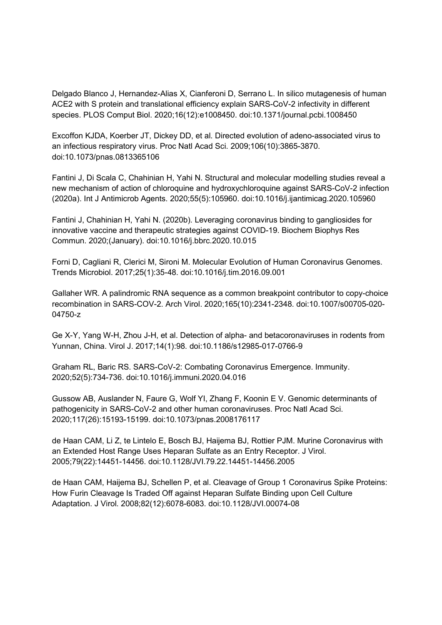Delgado Blanco J, Hernandez-Alias X, Cianferoni D, Serrano L. In silico mutagenesis of human ACE2 with S protein and translational efficiency explain SARS-CoV-2 infectivity in different species. PLOS Comput Biol. 2020;16(12):e1008450. doi:10.1371/journal.pcbi.1008450

Excoffon KJDA, Koerber JT, Dickey DD, et al. Directed evolution of adeno-associated virus to an infectious respiratory virus. Proc Natl Acad Sci. 2009;106(10):3865-3870. doi:10.1073/pnas.0813365106

Fantini J, Di Scala C, Chahinian H, Yahi N. Structural and molecular modelling studies reveal a new mechanism of action of chloroquine and hydroxychloroquine against SARS-CoV-2 infection (2020a). Int J Antimicrob Agents. 2020;55(5):105960. doi:10.1016/j.ijantimicag.2020.105960

Fantini J, Chahinian H, Yahi N. (2020b). Leveraging coronavirus binding to gangliosides for innovative vaccine and therapeutic strategies against COVID-19. Biochem Biophys Res Commun. 2020;(January). doi:10.1016/j.bbrc.2020.10.015

Forni D, Cagliani R, Clerici M, Sironi M. Molecular Evolution of Human Coronavirus Genomes. Trends Microbiol. 2017;25(1):35-48. doi:10.1016/j.tim.2016.09.001

Gallaher WR. A palindromic RNA sequence as a common breakpoint contributor to copy-choice recombination in SARS-COV-2. Arch Virol. 2020;165(10):2341-2348. doi:10.1007/s00705-020- 04750-z

Ge X-Y, Yang W-H, Zhou J-H, et al. Detection of alpha- and betacoronaviruses in rodents from Yunnan, China. Virol J. 2017;14(1):98. doi:10.1186/s12985-017-0766-9

Graham RL, Baric RS. SARS-CoV-2: Combating Coronavirus Emergence. Immunity. 2020;52(5):734-736. doi:10.1016/j.immuni.2020.04.016

Gussow AB, Auslander N, Faure G, Wolf YI, Zhang F, Koonin E V. Genomic determinants of pathogenicity in SARS-CoV-2 and other human coronaviruses. Proc Natl Acad Sci. 2020;117(26):15193-15199. doi:10.1073/pnas.2008176117

de Haan CAM, Li Z, te Lintelo E, Bosch BJ, Haijema BJ, Rottier PJM. Murine Coronavirus with an Extended Host Range Uses Heparan Sulfate as an Entry Receptor. J Virol. 2005;79(22):14451-14456. doi:10.1128/JVI.79.22.14451-14456.2005

de Haan CAM, Haijema BJ, Schellen P, et al. Cleavage of Group 1 Coronavirus Spike Proteins: How Furin Cleavage Is Traded Off against Heparan Sulfate Binding upon Cell Culture Adaptation. J Virol. 2008;82(12):6078-6083. doi:10.1128/JVI.00074-08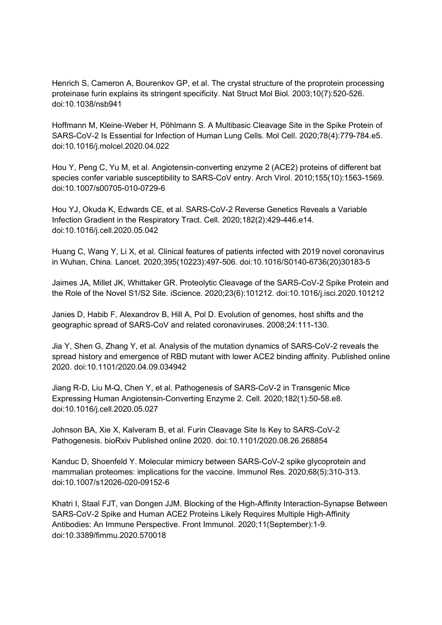Henrich S, Cameron A, Bourenkov GP, et al. The crystal structure of the proprotein processing proteinase furin explains its stringent specificity. Nat Struct Mol Biol. 2003;10(7):520-526. doi:10.1038/nsb941

Hoffmann M, Kleine-Weber H, Pöhlmann S. A Multibasic Cleavage Site in the Spike Protein of SARS-CoV-2 Is Essential for Infection of Human Lung Cells. Mol Cell. 2020;78(4):779-784.e5. doi:10.1016/j.molcel.2020.04.022

Hou Y, Peng C, Yu M, et al. Angiotensin-converting enzyme 2 (ACE2) proteins of different bat species confer variable susceptibility to SARS-CoV entry. Arch Virol. 2010;155(10):1563-1569. doi:10.1007/s00705-010-0729-6

Hou YJ, Okuda K, Edwards CE, et al. SARS-CoV-2 Reverse Genetics Reveals a Variable Infection Gradient in the Respiratory Tract. Cell. 2020;182(2):429-446.e14. doi:10.1016/j.cell.2020.05.042

Huang C, Wang Y, Li X, et al. Clinical features of patients infected with 2019 novel coronavirus in Wuhan, China. Lancet. 2020;395(10223):497-506. doi:10.1016/S0140-6736(20)30183-5

Jaimes JA, Millet JK, Whittaker GR. Proteolytic Cleavage of the SARS-CoV-2 Spike Protein and the Role of the Novel S1/S2 Site. iScience. 2020;23(6):101212. doi:10.1016/j.isci.2020.101212

Janies D, Habib F, Alexandrov B, Hill A, Pol D. Evolution of genomes, host shifts and the geographic spread of SARS-CoV and related coronaviruses. 2008;24:111-130.

Jia Y, Shen G, Zhang Y, et al. Analysis of the mutation dynamics of SARS-CoV-2 reveals the spread history and emergence of RBD mutant with lower ACE2 binding affinity. Published online 2020. doi:10.1101/2020.04.09.034942

Jiang R-D, Liu M-Q, Chen Y, et al. Pathogenesis of SARS-CoV-2 in Transgenic Mice Expressing Human Angiotensin-Converting Enzyme 2. Cell. 2020;182(1):50-58.e8. doi:10.1016/j.cell.2020.05.027

Johnson BA, Xie X, Kalveram B, et al. Furin Cleavage Site Is Key to SARS-CoV-2 Pathogenesis. bioRxiv Published online 2020. doi:10.1101/2020.08.26.268854

Kanduc D, Shoenfeld Y. Molecular mimicry between SARS-CoV-2 spike glycoprotein and mammalian proteomes: implications for the vaccine. Immunol Res. 2020;68(5):310-313. doi:10.1007/s12026-020-09152-6

Khatri I, Staal FJT, van Dongen JJM. Blocking of the High-Affinity Interaction-Synapse Between SARS-CoV-2 Spike and Human ACE2 Proteins Likely Requires Multiple High-Affinity Antibodies: An Immune Perspective. Front Immunol. 2020;11(September):1-9. doi:10.3389/fimmu.2020.570018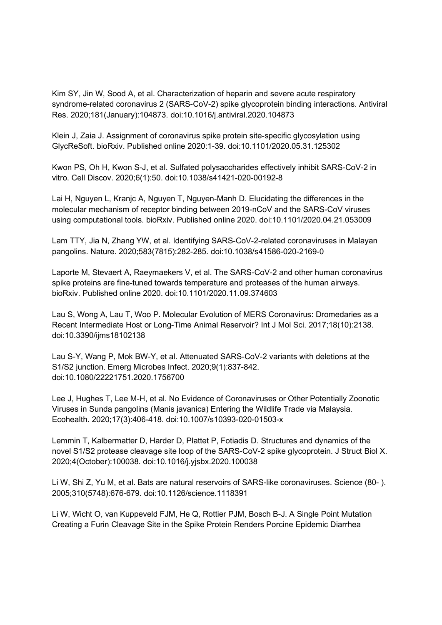Kim SY, Jin W, Sood A, et al. Characterization of heparin and severe acute respiratory syndrome-related coronavirus 2 (SARS-CoV-2) spike glycoprotein binding interactions. Antiviral Res. 2020;181(January):104873. doi:10.1016/j.antiviral.2020.104873

Klein J, Zaia J. Assignment of coronavirus spike protein site-specific glycosylation using GlycReSoft. bioRxiv. Published online 2020:1-39. doi:10.1101/2020.05.31.125302

Kwon PS, Oh H, Kwon S-J, et al. Sulfated polysaccharides effectively inhibit SARS-CoV-2 in vitro. Cell Discov. 2020;6(1):50. doi:10.1038/s41421-020-00192-8

Lai H, Nguyen L, Kranjc A, Nguyen T, Nguyen-Manh D. Elucidating the differences in the molecular mechanism of receptor binding between 2019-nCoV and the SARS-CoV viruses using computational tools. bioRxiv. Published online 2020. doi:10.1101/2020.04.21.053009

Lam TTY, Jia N, Zhang YW, et al. Identifying SARS-CoV-2-related coronaviruses in Malayan pangolins. Nature. 2020;583(7815):282-285. doi:10.1038/s41586-020-2169-0

Laporte M, Stevaert A, Raeymaekers V, et al. The SARS-CoV-2 and other human coronavirus spike proteins are fine-tuned towards temperature and proteases of the human airways. bioRxiv. Published online 2020. doi:10.1101/2020.11.09.374603

Lau S, Wong A, Lau T, Woo P. Molecular Evolution of MERS Coronavirus: Dromedaries as a Recent Intermediate Host or Long-Time Animal Reservoir? Int J Mol Sci. 2017;18(10):2138. doi:10.3390/ijms18102138

Lau S-Y, Wang P, Mok BW-Y, et al. Attenuated SARS-CoV-2 variants with deletions at the S1/S2 junction. Emerg Microbes Infect. 2020;9(1):837-842. doi:10.1080/22221751.2020.1756700

Lee J, Hughes T, Lee M-H, et al. No Evidence of Coronaviruses or Other Potentially Zoonotic Viruses in Sunda pangolins (Manis javanica) Entering the Wildlife Trade via Malaysia. Ecohealth. 2020;17(3):406-418. doi:10.1007/s10393-020-01503-x

Lemmin T, Kalbermatter D, Harder D, Plattet P, Fotiadis D. Structures and dynamics of the novel S1/S2 protease cleavage site loop of the SARS-CoV-2 spike glycoprotein. J Struct Biol X. 2020;4(October):100038. doi:10.1016/j.yjsbx.2020.100038

Li W, Shi Z, Yu M, et al. Bats are natural reservoirs of SARS-like coronaviruses. Science (80- ). 2005;310(5748):676-679. doi:10.1126/science.1118391

Li W, Wicht O, van Kuppeveld FJM, He Q, Rottier PJM, Bosch B-J. A Single Point Mutation Creating a Furin Cleavage Site in the Spike Protein Renders Porcine Epidemic Diarrhea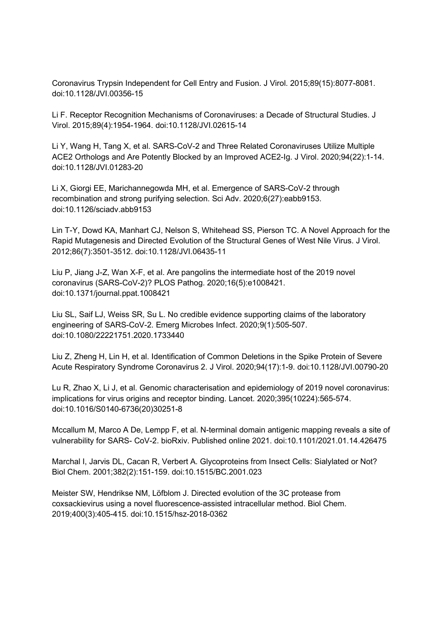Coronavirus Trypsin Independent for Cell Entry and Fusion. J Virol. 2015;89(15):8077-8081. doi:10.1128/JVI.00356-15

Li F. Receptor Recognition Mechanisms of Coronaviruses: a Decade of Structural Studies. J Virol. 2015;89(4):1954-1964. doi:10.1128/JVI.02615-14

Li Y, Wang H, Tang X, et al. SARS-CoV-2 and Three Related Coronaviruses Utilize Multiple ACE2 Orthologs and Are Potently Blocked by an Improved ACE2-Ig. J Virol. 2020;94(22):1-14. doi:10.1128/JVI.01283-20

Li X, Giorgi EE, Marichannegowda MH, et al. Emergence of SARS-CoV-2 through recombination and strong purifying selection. Sci Adv. 2020;6(27):eabb9153. doi:10.1126/sciadv.abb9153

Lin T-Y, Dowd KA, Manhart CJ, Nelson S, Whitehead SS, Pierson TC. A Novel Approach for the Rapid Mutagenesis and Directed Evolution of the Structural Genes of West Nile Virus. J Virol. 2012;86(7):3501-3512. doi:10.1128/JVI.06435-11

Liu P, Jiang J-Z, Wan X-F, et al. Are pangolins the intermediate host of the 2019 novel coronavirus (SARS-CoV-2)? PLOS Pathog. 2020;16(5):e1008421. doi:10.1371/journal.ppat.1008421

Liu SL, Saif LJ, Weiss SR, Su L. No credible evidence supporting claims of the laboratory engineering of SARS-CoV-2. Emerg Microbes Infect. 2020;9(1):505-507. doi:10.1080/22221751.2020.1733440

Liu Z, Zheng H, Lin H, et al. Identification of Common Deletions in the Spike Protein of Severe Acute Respiratory Syndrome Coronavirus 2. J Virol. 2020;94(17):1-9. doi:10.1128/JVI.00790-20

Lu R, Zhao X, Li J, et al. Genomic characterisation and epidemiology of 2019 novel coronavirus: implications for virus origins and receptor binding. Lancet. 2020;395(10224):565-574. doi:10.1016/S0140-6736(20)30251-8

Mccallum M, Marco A De, Lempp F, et al. N-terminal domain antigenic mapping reveals a site of vulnerability for SARS- CoV-2. bioRxiv. Published online 2021. doi:10.1101/2021.01.14.426475

Marchal I, Jarvis DL, Cacan R, Verbert A. Glycoproteins from Insect Cells: Sialylated or Not? Biol Chem. 2001;382(2):151-159. doi:10.1515/BC.2001.023

Meister SW, Hendrikse NM, Löfblom J. Directed evolution of the 3C protease from coxsackievirus using a novel fluorescence-assisted intracellular method. Biol Chem. 2019;400(3):405-415. doi:10.1515/hsz-2018-0362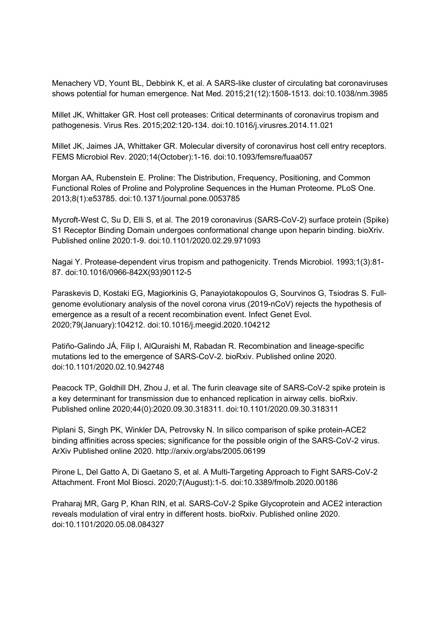Menachery VD, Yount BL, Debbink K, et al. A SARS-like cluster of circulating bat coronaviruses shows potential for human emergence. Nat Med. 2015;21(12):1508-1513. doi:10.1038/nm.3985

Millet JK, Whittaker GR. Host cell proteases: Critical determinants of coronavirus tropism and pathogenesis. Virus Res. 2015;202:120-134. doi:10.1016/j.virusres.2014.11.021

Millet JK, Jaimes JA, Whittaker GR. Molecular diversity of coronavirus host cell entry receptors. FEMS Microbiol Rev. 2020;14(October):1-16. doi:10.1093/femsre/fuaa057

Morgan AA, Rubenstein E. Proline: The Distribution, Frequency, Positioning, and Common Functional Roles of Proline and Polyproline Sequences in the Human Proteome. PLoS One. 2013;8(1):e53785. doi:10.1371/journal.pone.0053785

Mycroft-West C, Su D, Elli S, et al. The 2019 coronavirus (SARS-CoV-2) surface protein (Spike) S1 Receptor Binding Domain undergoes conformational change upon heparin binding. bioXriv. Published online 2020:1-9. doi:10.1101/2020.02.29.971093

Nagai Y. Protease-dependent virus tropism and pathogenicity. Trends Microbiol. 1993;1(3):81- 87. doi:10.1016/0966-842X(93)90112-5

Paraskevis D, Kostaki EG, Magiorkinis G, Panayiotakopoulos G, Sourvinos G, Tsiodras S. Fullgenome evolutionary analysis of the novel corona virus (2019-nCoV) rejects the hypothesis of emergence as a result of a recent recombination event. Infect Genet Evol. 2020;79(January):104212. doi:10.1016/j.meegid.2020.104212

Patiño-Galindo JÁ, Filip I, AlQuraishi M, Rabadan R. Recombination and lineage-specific mutations led to the emergence of SARS-CoV-2. bioRxiv. Published online 2020. doi:10.1101/2020.02.10.942748

Peacock TP, Goldhill DH, Zhou J, et al. The furin cleavage site of SARS-CoV-2 spike protein is a key determinant for transmission due to enhanced replication in airway cells. bioRxiv. Published online 2020;44(0):2020.09.30.318311. doi:10.1101/2020.09.30.318311

Piplani S, Singh PK, Winkler DA, Petrovsky N. In silico comparison of spike protein-ACE2 binding affinities across species; significance for the possible origin of the SARS-CoV-2 virus. ArXiv Published online 2020. http://arxiv.org/abs/2005.06199

Pirone L, Del Gatto A, Di Gaetano S, et al. A Multi-Targeting Approach to Fight SARS-CoV-2 Attachment. Front Mol Biosci. 2020;7(August):1-5. doi:10.3389/fmolb.2020.00186

Praharaj MR, Garg P, Khan RIN, et al. SARS-CoV-2 Spike Glycoprotein and ACE2 interaction reveals modulation of viral entry in different hosts. bioRxiv. Published online 2020. doi:10.1101/2020.05.08.084327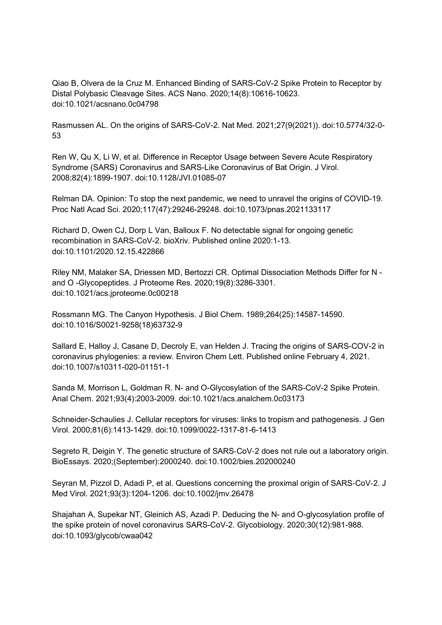Qiao B, Olvera de la Cruz M. Enhanced Binding of SARS-CoV-2 Spike Protein to Receptor by Distal Polybasic Cleavage Sites. ACS Nano. 2020;14(8):10616-10623. doi:10.1021/acsnano.0c04798

Rasmussen AL. On the origins of SARS-CoV-2. Nat Med. 2021;27(9(2021)). doi:10.5774/32-0- 53

Ren W, Qu X, Li W, et al. Difference in Receptor Usage between Severe Acute Respiratory Syndrome (SARS) Coronavirus and SARS-Like Coronavirus of Bat Origin. J Virol. 2008;82(4):1899-1907. doi:10.1128/JVI.01085-07

Relman DA. Opinion: To stop the next pandemic, we need to unravel the origins of COVID-19. Proc Natl Acad Sci. 2020;117(47):29246-29248. doi:10.1073/pnas.2021133117

Richard D, Owen CJ, Dorp L Van, Balloux F. No detectable signal for ongoing genetic recombination in SARS-CoV-2. bioXriv. Published online 2020:1-13. doi:10.1101/2020.12.15.422866

Riley NM, Malaker SA, Driessen MD, Bertozzi CR. Optimal Dissociation Methods Differ for N and O -Glycopeptides. J Proteome Res. 2020;19(8):3286-3301. doi:10.1021/acs.jproteome.0c00218

Rossmann MG. The Canyon Hypothesis. J Biol Chem. 1989;264(25):14587-14590. doi:10.1016/S0021-9258(18)63732-9

Sallard E, Halloy J, Casane D, Decroly E, van Helden J. Tracing the origins of SARS-COV-2 in coronavirus phylogenies: a review. Environ Chem Lett. Published online February 4, 2021. doi:10.1007/s10311-020-01151-1

Sanda M, Morrison L, Goldman R. N- and O-Glycosylation of the SARS-CoV-2 Spike Protein. Anal Chem. 2021;93(4):2003-2009. doi:10.1021/acs.analchem.0c03173

Schneider-Schaulies J. Cellular receptors for viruses: links to tropism and pathogenesis. J Gen Virol. 2000;81(6):1413-1429. doi:10.1099/0022-1317-81-6-1413

Segreto R, Deigin Y. The genetic structure of SARS‐CoV‐2 does not rule out a laboratory origin. BioEssays. 2020;(September):2000240. doi:10.1002/bies.202000240

Seyran M, Pizzol D, Adadi P, et al. Questions concerning the proximal origin of SARS‐CoV‐2. J Med Virol. 2021;93(3):1204-1206. doi:10.1002/jmv.26478

Shajahan A, Supekar NT, Gleinich AS, Azadi P. Deducing the N- and O-glycosylation profile of the spike protein of novel coronavirus SARS-CoV-2. Glycobiology. 2020;30(12):981-988. doi:10.1093/glycob/cwaa042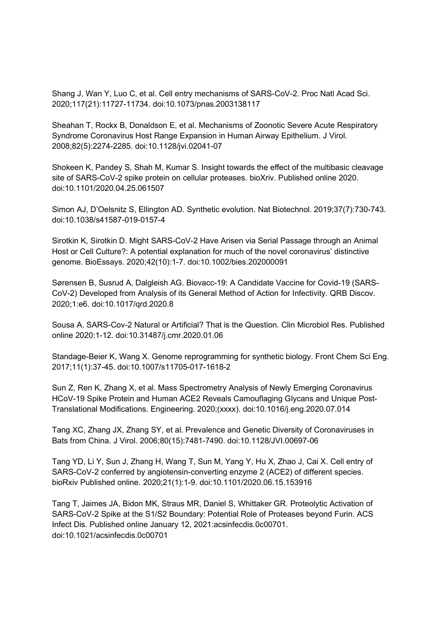Shang J, Wan Y, Luo C, et al. Cell entry mechanisms of SARS-CoV-2. Proc Natl Acad Sci. 2020;117(21):11727-11734. doi:10.1073/pnas.2003138117

Sheahan T, Rockx B, Donaldson E, et al. Mechanisms of Zoonotic Severe Acute Respiratory Syndrome Coronavirus Host Range Expansion in Human Airway Epithelium. J Virol. 2008;82(5):2274-2285. doi:10.1128/jvi.02041-07

Shokeen K, Pandey S, Shah M, Kumar S. Insight towards the effect of the multibasic cleavage site of SARS-CoV-2 spike protein on cellular proteases. bioXriv. Published online 2020. doi:10.1101/2020.04.25.061507

Simon AJ, D'Oelsnitz S, Ellington AD. Synthetic evolution. Nat Biotechnol. 2019;37(7):730-743. doi:10.1038/s41587-019-0157-4

Sirotkin K, Sirotkin D. Might SARS-CoV-2 Have Arisen via Serial Passage through an Animal Host or Cell Culture?: A potential explanation for much of the novel coronavirus' distinctive genome. BioEssays. 2020;42(10):1-7. doi:10.1002/bies.202000091

Sørensen B, Susrud A, Dalgleish AG. Biovacc-19: A Candidate Vaccine for Covid-19 (SARS-CoV-2) Developed from Analysis of its General Method of Action for Infectivity. QRB Discov. 2020;1:e6. doi:10.1017/qrd.2020.8

Sousa A. SARS-Cov-2 Natural or Artificial? That is the Question. Clin Microbiol Res. Published online 2020:1-12. doi:10.31487/j.cmr.2020.01.06

Standage-Beier K, Wang X. Genome reprogramming for synthetic biology. Front Chem Sci Eng. 2017;11(1):37-45. doi:10.1007/s11705-017-1618-2

Sun Z, Ren K, Zhang X, et al. Mass Spectrometry Analysis of Newly Emerging Coronavirus HCoV-19 Spike Protein and Human ACE2 Reveals Camouflaging Glycans and Unique Post-Translational Modifications. Engineering. 2020;(xxxx). doi:10.1016/j.eng.2020.07.014

Tang XC, Zhang JX, Zhang SY, et al. Prevalence and Genetic Diversity of Coronaviruses in Bats from China. J Virol. 2006;80(15):7481-7490. doi:10.1128/JVI.00697-06

Tang YD, Li Y, Sun J, Zhang H, Wang T, Sun M, Yang Y, Hu X, Zhao J, Cai X. Cell entry of SARS-CoV-2 conferred by angiotensin-converting enzyme 2 (ACE2) of different species. bioRxiv Published online. 2020;21(1):1-9. doi:10.1101/2020.06.15.153916

Tang T, Jaimes JA, Bidon MK, Straus MR, Daniel S, Whittaker GR. Proteolytic Activation of SARS-CoV-2 Spike at the S1/S2 Boundary: Potential Role of Proteases beyond Furin. ACS Infect Dis. Published online January 12, 2021:acsinfecdis.0c00701. doi:10.1021/acsinfecdis.0c00701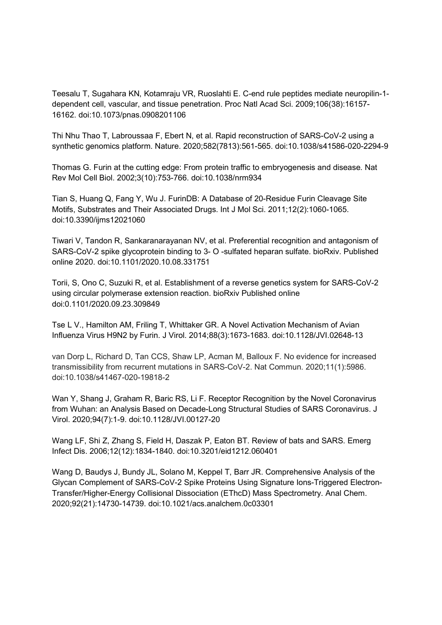Teesalu T, Sugahara KN, Kotamraju VR, Ruoslahti E. C-end rule peptides mediate neuropilin-1 dependent cell, vascular, and tissue penetration. Proc Natl Acad Sci. 2009;106(38):16157- 16162. doi:10.1073/pnas.0908201106

Thi Nhu Thao T, Labroussaa F, Ebert N, et al. Rapid reconstruction of SARS-CoV-2 using a synthetic genomics platform. Nature. 2020;582(7813):561-565. doi:10.1038/s41586-020-2294-9

Thomas G. Furin at the cutting edge: From protein traffic to embryogenesis and disease. Nat Rev Mol Cell Biol. 2002;3(10):753-766. doi:10.1038/nrm934

Tian S, Huang Q, Fang Y, Wu J. FurinDB: A Database of 20-Residue Furin Cleavage Site Motifs, Substrates and Their Associated Drugs. Int J Mol Sci. 2011;12(2):1060-1065. doi:10.3390/ijms12021060

Tiwari V, Tandon R, Sankaranarayanan NV, et al. Preferential recognition and antagonism of SARS-CoV-2 spike glycoprotein binding to 3- O -sulfated heparan sulfate. bioRxiv. Published online 2020. doi:10.1101/2020.10.08.331751

Torii, S, Ono C, Suzuki R, et al. Establishment of a reverse genetics system for SARS-CoV-2 using circular polymerase extension reaction. bioRxiv Published online doi:0.1101/2020.09.23.309849

Tse L V., Hamilton AM, Friling T, Whittaker GR. A Novel Activation Mechanism of Avian Influenza Virus H9N2 by Furin. J Virol. 2014;88(3):1673-1683. doi:10.1128/JVI.02648-13

van Dorp L, Richard D, Tan CCS, Shaw LP, Acman M, Balloux F. No evidence for increased transmissibility from recurrent mutations in SARS-CoV-2. Nat Commun. 2020;11(1):5986. doi:10.1038/s41467-020-19818-2

Wan Y, Shang J, Graham R, Baric RS, Li F. Receptor Recognition by the Novel Coronavirus from Wuhan: an Analysis Based on Decade-Long Structural Studies of SARS Coronavirus. J Virol. 2020;94(7):1-9. doi:10.1128/JVI.00127-20

Wang LF, Shi Z, Zhang S, Field H, Daszak P, Eaton BT. Review of bats and SARS. Emerg Infect Dis. 2006;12(12):1834-1840. doi:10.3201/eid1212.060401

Wang D, Baudys J, Bundy JL, Solano M, Keppel T, Barr JR. Comprehensive Analysis of the Glycan Complement of SARS-CoV-2 Spike Proteins Using Signature Ions-Triggered Electron-Transfer/Higher-Energy Collisional Dissociation (EThcD) Mass Spectrometry. Anal Chem. 2020;92(21):14730-14739. doi:10.1021/acs.analchem.0c03301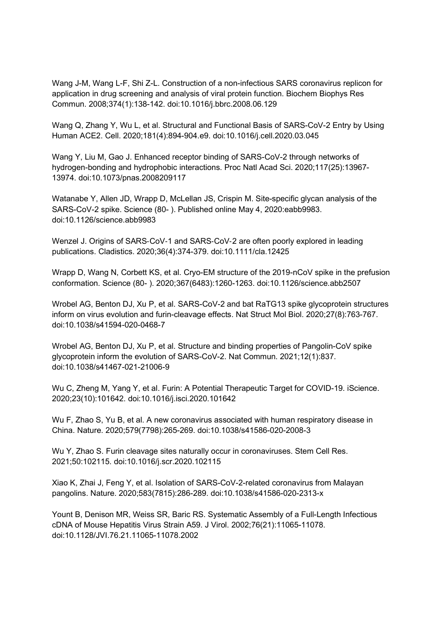Wang J-M, Wang L-F, Shi Z-L. Construction of a non-infectious SARS coronavirus replicon for application in drug screening and analysis of viral protein function. Biochem Biophys Res Commun. 2008;374(1):138-142. doi:10.1016/j.bbrc.2008.06.129

Wang Q, Zhang Y, Wu L, et al. Structural and Functional Basis of SARS-CoV-2 Entry by Using Human ACE2. Cell. 2020;181(4):894-904.e9. doi:10.1016/j.cell.2020.03.045

Wang Y, Liu M, Gao J. Enhanced receptor binding of SARS-CoV-2 through networks of hydrogen-bonding and hydrophobic interactions. Proc Natl Acad Sci. 2020;117(25):13967- 13974. doi:10.1073/pnas.2008209117

Watanabe Y, Allen JD, Wrapp D, McLellan JS, Crispin M. Site-specific glycan analysis of the SARS-CoV-2 spike. Science (80- ). Published online May 4, 2020:eabb9983. doi:10.1126/science.abb9983

Wenzel J. Origins of SARS‐CoV‐1 and SARS‐CoV‐2 are often poorly explored in leading publications. Cladistics. 2020;36(4):374-379. doi:10.1111/cla.12425

Wrapp D, Wang N, Corbett KS, et al. Cryo-EM structure of the 2019-nCoV spike in the prefusion conformation. Science (80- ). 2020;367(6483):1260-1263. doi:10.1126/science.abb2507

Wrobel AG, Benton DJ, Xu P, et al. SARS-CoV-2 and bat RaTG13 spike glycoprotein structures inform on virus evolution and furin-cleavage effects. Nat Struct Mol Biol. 2020;27(8):763-767. doi:10.1038/s41594-020-0468-7

Wrobel AG, Benton DJ, Xu P, et al. Structure and binding properties of Pangolin-CoV spike glycoprotein inform the evolution of SARS-CoV-2. Nat Commun. 2021;12(1):837. doi:10.1038/s41467-021-21006-9

Wu C, Zheng M, Yang Y, et al. Furin: A Potential Therapeutic Target for COVID-19. iScience. 2020;23(10):101642. doi:10.1016/j.isci.2020.101642

Wu F, Zhao S, Yu B, et al. A new coronavirus associated with human respiratory disease in China. Nature. 2020;579(7798):265-269. doi:10.1038/s41586-020-2008-3

Wu Y, Zhao S. Furin cleavage sites naturally occur in coronaviruses. Stem Cell Res. 2021;50:102115. doi:10.1016/j.scr.2020.102115

Xiao K, Zhai J, Feng Y, et al. Isolation of SARS-CoV-2-related coronavirus from Malayan pangolins. Nature. 2020;583(7815):286-289. doi:10.1038/s41586-020-2313-x

Yount B, Denison MR, Weiss SR, Baric RS. Systematic Assembly of a Full-Length Infectious cDNA of Mouse Hepatitis Virus Strain A59. J Virol. 2002;76(21):11065-11078. doi:10.1128/JVI.76.21.11065-11078.2002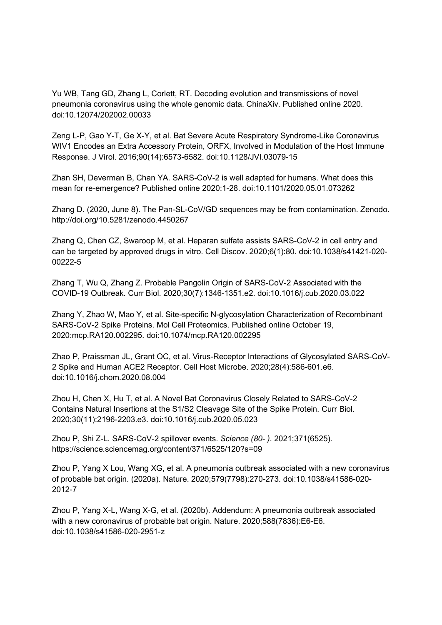Yu WB, Tang GD, Zhang L, Corlett, RT. Decoding evolution and transmissions of novel pneumonia coronavirus using the whole genomic data. ChinaXiv. Published online 2020. doi:10.12074/202002.00033

Zeng L-P, Gao Y-T, Ge X-Y, et al. Bat Severe Acute Respiratory Syndrome-Like Coronavirus WIV1 Encodes an Extra Accessory Protein, ORFX, Involved in Modulation of the Host Immune Response. J Virol. 2016;90(14):6573-6582. doi:10.1128/JVI.03079-15

Zhan SH, Deverman B, Chan YA. SARS-CoV-2 is well adapted for humans. What does this mean for re-emergence? Published online 2020:1-28. doi:10.1101/2020.05.01.073262

Zhang D. (2020, June 8). The Pan-SL-CoV/GD sequences may be from contamination. Zenodo. http://doi.org/10.5281/zenodo.4450267

Zhang Q, Chen CZ, Swaroop M, et al. Heparan sulfate assists SARS-CoV-2 in cell entry and can be targeted by approved drugs in vitro. Cell Discov. 2020;6(1):80. doi:10.1038/s41421-020- 00222-5

Zhang T, Wu Q, Zhang Z. Probable Pangolin Origin of SARS-CoV-2 Associated with the COVID-19 Outbreak. Curr Biol. 2020;30(7):1346-1351.e2. doi:10.1016/j.cub.2020.03.022

Zhang Y, Zhao W, Mao Y, et al. Site-specific N-glycosylation Characterization of Recombinant SARS-CoV-2 Spike Proteins. Mol Cell Proteomics. Published online October 19, 2020:mcp.RA120.002295. doi:10.1074/mcp.RA120.002295

Zhao P, Praissman JL, Grant OC, et al. Virus-Receptor Interactions of Glycosylated SARS-CoV-2 Spike and Human ACE2 Receptor. Cell Host Microbe. 2020;28(4):586-601.e6. doi:10.1016/j.chom.2020.08.004

Zhou H, Chen X, Hu T, et al. A Novel Bat Coronavirus Closely Related to SARS-CoV-2 Contains Natural Insertions at the S1/S2 Cleavage Site of the Spike Protein. Curr Biol. 2020;30(11):2196-2203.e3. doi:10.1016/j.cub.2020.05.023

Zhou P, Shi Z-L. SARS-CoV-2 spillover events. Science (80- ). 2021;371(6525). https://science.sciencemag.org/content/371/6525/120?s=09

Zhou P, Yang X Lou, Wang XG, et al. A pneumonia outbreak associated with a new coronavirus of probable bat origin. (2020a). Nature. 2020;579(7798):270-273. doi:10.1038/s41586-020- 2012-7

Zhou P, Yang X-L, Wang X-G, et al. (2020b). Addendum: A pneumonia outbreak associated with a new coronavirus of probable bat origin. Nature. 2020;588(7836):E6-E6. doi:10.1038/s41586-020-2951-z